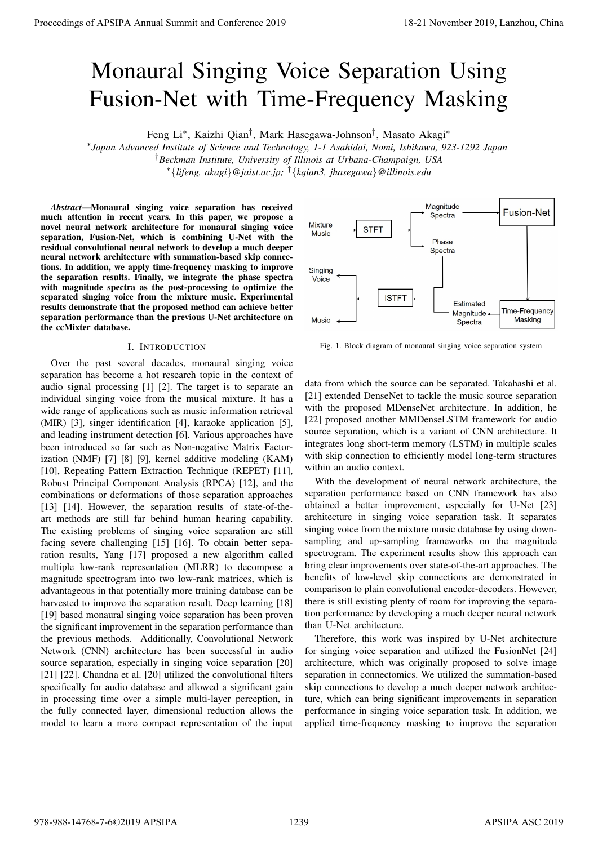# Monaural Singing Voice Separation Using Fusion-Net with Time-Frequency Masking

Feng Li<sup>∗</sup> , Kaizhi Qian† , Mark Hasegawa-Johnson† , Masato Akagi<sup>∗</sup>

∗ *Japan Advanced Institute of Science and Technology, 1-1 Asahidai, Nomi, Ishikawa, 923-1292 Japan* †*Beckman Institute, University of Illinois at Urbana-Champaign, USA* <sup>∗</sup>{*lifeng, akagi*}*@jaist.ac.jp;* †{*kqian3, jhasegawa*}*@illinois.edu*

*Abstract*—Monaural singing voice separation has received much attention in recent years. In this paper, we propose a novel neural network architecture for monaural singing voice separation, Fusion-Net, which is combining U-Net with the residual convolutional neural network to develop a much deeper neural network architecture with summation-based skip connections. In addition, we apply time-frequency masking to improve the separation results. Finally, we integrate the phase spectra with magnitude spectra as the post-processing to optimize the separated singing voice from the mixture music. Experimental results demonstrate that the proposed method can achieve better separation performance than the previous U-Net architecture on the ccMixter database.

## I. INTRODUCTION

Over the past several decades, monaural singing voice separation has become a hot research topic in the context of audio signal processing [1] [2]. The target is to separate an individual singing voice from the musical mixture. It has a wide range of applications such as music information retrieval (MIR) [3], singer identification [4], karaoke application [5], and leading instrument detection [6]. Various approaches have been introduced so far such as Non-negative Matrix Factorization (NMF) [7] [8] [9], kernel additive modeling (KAM) [10], Repeating Pattern Extraction Technique (REPET) [11], Robust Principal Component Analysis (RPCA) [12], and the combinations or deformations of those separation approaches [13] [14]. However, the separation results of state-of-theart methods are still far behind human hearing capability. The existing problems of singing voice separation are still facing severe challenging [15] [16]. To obtain better separation results, Yang [17] proposed a new algorithm called multiple low-rank representation (MLRR) to decompose a magnitude spectrogram into two low-rank matrices, which is advantageous in that potentially more training database can be harvested to improve the separation result. Deep learning [18] [19] based monaural singing voice separation has been proven the significant improvement in the separation performance than the previous methods. Additionally, Convolutional Network Network (CNN) architecture has been successful in audio source separation, especially in singing voice separation [20] [21] [22]. Chandna et al. [20] utilized the convolutional filters specifically for audio database and allowed a significant gain in processing time over a simple multi-layer perception, in the fully connected layer, dimensional reduction allows the model to learn a more compact representation of the input **Proceedings of APSIPA Annual Summit at China 2019**<br> **Monator Institute Conference 2019**<br> **Monator Institute Conference 2019**<br> **Proceedings of APSIPA Annual Summit and Conference 2019**<br> **Proceeding of APSIPA Annual Summit** 



Fig. 1. Block diagram of monaural singing voice separation system

data from which the source can be separated. Takahashi et al. [21] extended DenseNet to tackle the music source separation with the proposed MDenseNet architecture. In addition, he [22] proposed another MMDenseLSTM framework for audio source separation, which is a variant of CNN architecture. It integrates long short-term memory (LSTM) in multiple scales with skip connection to efficiently model long-term structures within an audio context.

With the development of neural network architecture, the separation performance based on CNN framework has also obtained a better improvement, especially for U-Net [23] architecture in singing voice separation task. It separates singing voice from the mixture music database by using downsampling and up-sampling frameworks on the magnitude spectrogram. The experiment results show this approach can bring clear improvements over state-of-the-art approaches. The benefits of low-level skip connections are demonstrated in comparison to plain convolutional encoder-decoders. However, there is still existing plenty of room for improving the separation performance by developing a much deeper neural network than U-Net architecture.

Therefore, this work was inspired by U-Net architecture for singing voice separation and utilized the FusionNet [24] architecture, which was originally proposed to solve image separation in connectomics. We utilized the summation-based skip connections to develop a much deeper network architecture, which can bring significant improvements in separation performance in singing voice separation task. In addition, we applied time-frequency masking to improve the separation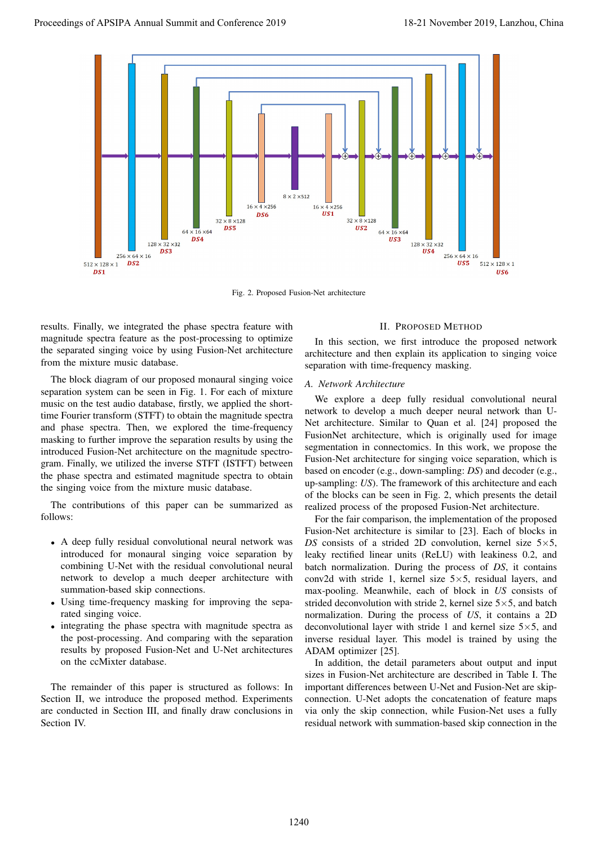

Fig. 2. Proposed Fusion-Net architecture

results. Finally, we integrated the phase spectra feature with magnitude spectra feature as the post-processing to optimize the separated singing voice by using Fusion-Net architecture from the mixture music database.

The block diagram of our proposed monaural singing voice separation system can be seen in Fig. 1. For each of mixture music on the test audio database, firstly, we applied the shorttime Fourier transform (STFT) to obtain the magnitude spectra and phase spectra. Then, we explored the time-frequency masking to further improve the separation results by using the introduced Fusion-Net architecture on the magnitude spectrogram. Finally, we utilized the inverse STFT (ISTFT) between the phase spectra and estimated magnitude spectra to obtain the singing voice from the mixture music database.

The contributions of this paper can be summarized as follows:

- A deep fully residual convolutional neural network was introduced for monaural singing voice separation by combining U-Net with the residual convolutional neural network to develop a much deeper architecture with summation-based skip connections.
- Using time-frequency masking for improving the separated singing voice.
- integrating the phase spectra with magnitude spectra as the post-processing. And comparing with the separation results by proposed Fusion-Net and U-Net architectures on the ccMixter database.

The remainder of this paper is structured as follows: In Section II, we introduce the proposed method. Experiments are conducted in Section III, and finally draw conclusions in Section IV.

## II. PROPOSED METHOD

In this section, we first introduce the proposed network architecture and then explain its application to singing voice separation with time-frequency masking.

#### *A. Network Architecture*

We explore a deep fully residual convolutional neural network to develop a much deeper neural network than U-Net architecture. Similar to Quan et al. [24] proposed the FusionNet architecture, which is originally used for image segmentation in connectomics. In this work, we propose the Fusion-Net architecture for singing voice separation, which is based on encoder (e.g., down-sampling: *DS*) and decoder (e.g., up-sampling: *US*). The framework of this architecture and each of the blocks can be seen in Fig. 2, which presents the detail realized process of the proposed Fusion-Net architecture.

For the fair comparison, the implementation of the proposed Fusion-Net architecture is similar to [23]. Each of blocks in *DS* consists of a strided 2D convolution, kernel size  $5 \times 5$ , leaky rectified linear units (ReLU) with leakiness 0.2, and batch normalization. During the process of *DS*, it contains conv2d with stride 1, kernel size  $5 \times 5$ , residual layers, and max-pooling. Meanwhile, each of block in *US* consists of strided deconvolution with stride 2, kernel size  $5 \times 5$ , and batch normalization. During the process of *US*, it contains a 2D deconvolutional layer with stride 1 and kernel size  $5\times 5$ , and inverse residual layer. This model is trained by using the ADAM optimizer [25].

In addition, the detail parameters about output and input sizes in Fusion-Net architecture are described in Table I. The important differences between U-Net and Fusion-Net are skipconnection. U-Net adopts the concatenation of feature maps via only the skip connection, while Fusion-Net uses a fully residual network with summation-based skip connection in the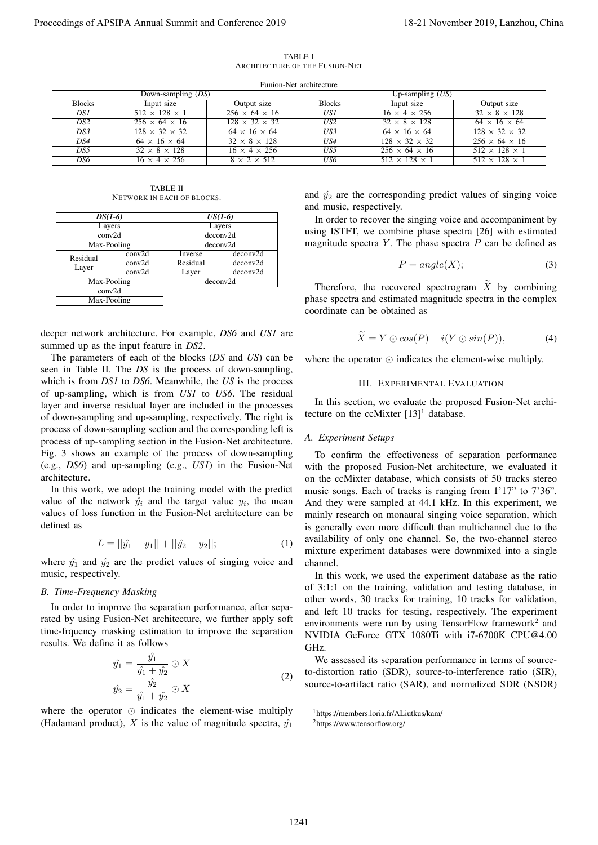|                                        |                                                               |                      |                                                                                                                                                                                                                                                                                                                                                                                                                                                                                                                      | ARCHITECTURE OF THE FUSION-NET                                                                                                                                     |                                                                                                                                                                                                                                                                                                                                                                                                                                                                                                                                                                               |                                                        |
|----------------------------------------|---------------------------------------------------------------|----------------------|----------------------------------------------------------------------------------------------------------------------------------------------------------------------------------------------------------------------------------------------------------------------------------------------------------------------------------------------------------------------------------------------------------------------------------------------------------------------------------------------------------------------|--------------------------------------------------------------------------------------------------------------------------------------------------------------------|-------------------------------------------------------------------------------------------------------------------------------------------------------------------------------------------------------------------------------------------------------------------------------------------------------------------------------------------------------------------------------------------------------------------------------------------------------------------------------------------------------------------------------------------------------------------------------|--------------------------------------------------------|
|                                        |                                                               |                      |                                                                                                                                                                                                                                                                                                                                                                                                                                                                                                                      | Funion-Net architecture                                                                                                                                            |                                                                                                                                                                                                                                                                                                                                                                                                                                                                                                                                                                               |                                                        |
| <b>Blocks</b>                          | Input size                                                    | Down-sampling $(DS)$ | Output size                                                                                                                                                                                                                                                                                                                                                                                                                                                                                                          | <b>Blocks</b>                                                                                                                                                      | Up-sampling $(US)$<br>Input size                                                                                                                                                                                                                                                                                                                                                                                                                                                                                                                                              | Output size                                            |
| DSI                                    | $512 \times 128 \times 1$                                     |                      | $256 \times 64 \times 16$                                                                                                                                                                                                                                                                                                                                                                                                                                                                                            | USI                                                                                                                                                                | $16 \times 4 \times 256$                                                                                                                                                                                                                                                                                                                                                                                                                                                                                                                                                      | $32 \times 8 \times 128$                               |
| DS <sub>2</sub>                        | $256 \times 64 \times 16$                                     |                      | $128 \times 32 \times 32$                                                                                                                                                                                                                                                                                                                                                                                                                                                                                            | $\overline{US2}$                                                                                                                                                   | $32 \times 8 \times 128$                                                                                                                                                                                                                                                                                                                                                                                                                                                                                                                                                      | $64 \times 16 \times 64$                               |
| DS3<br>DS4                             | $128 \times 32 \times 32$<br>$64 \times 16 \times 64$         |                      | $64 \times 16 \times 64$<br>$32 \times 8 \times 128$                                                                                                                                                                                                                                                                                                                                                                                                                                                                 | US3<br>US4                                                                                                                                                         | $64 \times 16 \times 64$<br>$128 \times 32 \times 32$                                                                                                                                                                                                                                                                                                                                                                                                                                                                                                                         | $128 \times 32 \times 32$<br>$256 \times 64 \times 16$ |
| DS5                                    | $32 \times 8 \times 128$                                      |                      | $16 \times 4 \times 256$                                                                                                                                                                                                                                                                                                                                                                                                                                                                                             | US5                                                                                                                                                                | $256 \times 64 \times 16$                                                                                                                                                                                                                                                                                                                                                                                                                                                                                                                                                     | $512 \times 128 \times 1$                              |
| DS6                                    | $16 \times 4 \times 256$                                      |                      | $8 \times 2 \times 512$                                                                                                                                                                                                                                                                                                                                                                                                                                                                                              | US6                                                                                                                                                                | $512 \times 128 \times 1$                                                                                                                                                                                                                                                                                                                                                                                                                                                                                                                                                     | $512 \times 128 \times 1$                              |
|                                        | NETWORK IN EACH OF BLOCKS.                                    | <b>TABLE II</b>      |                                                                                                                                                                                                                                                                                                                                                                                                                                                                                                                      |                                                                                                                                                                    | and $\hat{y}_2$ are the corresponding predict values of singing voice                                                                                                                                                                                                                                                                                                                                                                                                                                                                                                         |                                                        |
| $DS(1-6)$                              |                                                               |                      | $US(1-6)$                                                                                                                                                                                                                                                                                                                                                                                                                                                                                                            | and music, respectively.                                                                                                                                           |                                                                                                                                                                                                                                                                                                                                                                                                                                                                                                                                                                               |                                                        |
| Layers                                 |                                                               | Layers               |                                                                                                                                                                                                                                                                                                                                                                                                                                                                                                                      | In order to recover the singing voice and accompaniment by<br>using ISTFT, we combine phase spectra [26] with estimated                                            |                                                                                                                                                                                                                                                                                                                                                                                                                                                                                                                                                                               |                                                        |
| conv2d                                 |                                                               | deconv2d             |                                                                                                                                                                                                                                                                                                                                                                                                                                                                                                                      |                                                                                                                                                                    |                                                                                                                                                                                                                                                                                                                                                                                                                                                                                                                                                                               |                                                        |
| Max-Pooling                            |                                                               |                      | deconv2d                                                                                                                                                                                                                                                                                                                                                                                                                                                                                                             |                                                                                                                                                                    | magnitude spectra $Y$ . The phase spectra $P$ can be defined as                                                                                                                                                                                                                                                                                                                                                                                                                                                                                                               |                                                        |
| Residual                               | conv2d<br>conv2d                                              | Inverse<br>Residual  | deconv2d<br>deconv2d                                                                                                                                                                                                                                                                                                                                                                                                                                                                                                 |                                                                                                                                                                    | $P = angle(X);$                                                                                                                                                                                                                                                                                                                                                                                                                                                                                                                                                               |                                                        |
| Layer                                  | conv2d                                                        | Layer                | deconv2d                                                                                                                                                                                                                                                                                                                                                                                                                                                                                                             |                                                                                                                                                                    |                                                                                                                                                                                                                                                                                                                                                                                                                                                                                                                                                                               | (3)                                                    |
| Max-Pooling                            |                                                               |                      | deconv2d                                                                                                                                                                                                                                                                                                                                                                                                                                                                                                             |                                                                                                                                                                    |                                                                                                                                                                                                                                                                                                                                                                                                                                                                                                                                                                               |                                                        |
| conv2d<br>Max-Pooling                  |                                                               |                      |                                                                                                                                                                                                                                                                                                                                                                                                                                                                                                                      | Therefore, the recovered spectrogram $\widetilde{X}$ by combining<br>phase spectra and estimated magnitude spectra in the complex<br>coordinate can be obtained as |                                                                                                                                                                                                                                                                                                                                                                                                                                                                                                                                                                               |                                                        |
| summed up as the input feature in DS2. |                                                               |                      | deeper network architecture. For example, DS6 and US1 are<br>The parameters of each of the blocks (DS and US) can be<br>seen in Table II. The <i>DS</i> is the process of down-sampling,<br>which is from DS1 to DS6. Meanwhile, the US is the process<br>of up-sampling, which is from US1 to US6. The residual<br>layer and inverse residual layer are included in the processes<br>of down-sampling and up-sampling, respectively. The right is<br>process of down-sampling section and the corresponding left is |                                                                                                                                                                    | $\widetilde{X} = Y \odot cos(P) + i(Y \odot sin(P)),$<br>where the operator $\odot$ indicates the element-wise multiply.<br><b>III. EXPERIMENTAL EVALUATION</b><br>In this section, we evaluate the proposed Fusion-Net archi-<br>tecture on the ccMixter $[13]$ <sup>1</sup> database.                                                                                                                                                                                                                                                                                       | (4)                                                    |
|                                        |                                                               |                      | process of up-sampling section in the Fusion-Net architecture.<br>Fig. 3 shows an example of the process of down-sampling                                                                                                                                                                                                                                                                                                                                                                                            | A. Experiment Setups                                                                                                                                               |                                                                                                                                                                                                                                                                                                                                                                                                                                                                                                                                                                               |                                                        |
| architecture.<br>defined as            | $L =   \hat{y_1} - y_1   +   \hat{y_2} - y_2  ;$              |                      | (e.g., DS6) and up-sampling (e.g., US1) in the Fusion-Net<br>In this work, we adopt the training model with the predict<br>value of the network $\hat{y}_i$ and the target value $y_i$ , the mean<br>values of loss function in the Fusion-Net architecture can be<br>(1)                                                                                                                                                                                                                                            |                                                                                                                                                                    | To confirm the effectiveness of separation performance<br>with the proposed Fusion-Net architecture, we evaluated it<br>on the ccMixter database, which consists of 50 tracks stereo<br>music songs. Each of tracks is ranging from 1'17" to 7'36".<br>And they were sampled at 44.1 kHz. In this experiment, we<br>mainly research on monaural singing voice separation, which<br>is generally even more difficult than multichannel due to the<br>availability of only one channel. So, the two-channel stereo<br>mixture experiment databases were downmixed into a single |                                                        |
| music, respectively.                   |                                                               |                      | where $\hat{y_1}$ and $\hat{y_2}$ are the predict values of singing voice and                                                                                                                                                                                                                                                                                                                                                                                                                                        | channel.                                                                                                                                                           | In this work, we used the experiment database as the ratio<br>of 3:1:1 on the training, validation and testing database, in                                                                                                                                                                                                                                                                                                                                                                                                                                                   |                                                        |
| <b>B.</b> Time-Frequency Masking       |                                                               |                      |                                                                                                                                                                                                                                                                                                                                                                                                                                                                                                                      |                                                                                                                                                                    | other words, 30 tracks for training, 10 tracks for validation,                                                                                                                                                                                                                                                                                                                                                                                                                                                                                                                |                                                        |
| results. We define it as follows       |                                                               |                      | In order to improve the separation performance, after sepa-<br>rated by using Fusion-Net architecture, we further apply soft<br>time-frquency masking estimation to improve the separation                                                                                                                                                                                                                                                                                                                           | GHz.                                                                                                                                                               | and left 10 tracks for testing, respectively. The experiment<br>environments were run by using TensorFlow framework <sup>2</sup> and<br>NVIDIA GeForce GTX 1080Ti with i7-6700K CPU@4.00                                                                                                                                                                                                                                                                                                                                                                                      |                                                        |
|                                        |                                                               |                      |                                                                                                                                                                                                                                                                                                                                                                                                                                                                                                                      |                                                                                                                                                                    | We assessed its separation performance in terms of source-                                                                                                                                                                                                                                                                                                                                                                                                                                                                                                                    |                                                        |
|                                        | $\hat{y_1} = \frac{\hat{y_1}}{\hat{y_1} + \hat{y_2}} \odot X$ |                      |                                                                                                                                                                                                                                                                                                                                                                                                                                                                                                                      |                                                                                                                                                                    | to-distortion ratio (SDR), source-to-interference ratio (SIR),                                                                                                                                                                                                                                                                                                                                                                                                                                                                                                                |                                                        |
|                                        |                                                               |                      | (2)                                                                                                                                                                                                                                                                                                                                                                                                                                                                                                                  |                                                                                                                                                                    | source-to-artifact ratio (SAR), and normalized SDR (NSDR)                                                                                                                                                                                                                                                                                                                                                                                                                                                                                                                     |                                                        |
|                                        | $\hat{y_2} = \frac{\hat{y_2}}{\hat{y_1} + \hat{y_2}} \odot X$ |                      |                                                                                                                                                                                                                                                                                                                                                                                                                                                                                                                      |                                                                                                                                                                    |                                                                                                                                                                                                                                                                                                                                                                                                                                                                                                                                                                               |                                                        |
|                                        |                                                               |                      | where the operator $\odot$ indicates the element-wise multiply<br>(Hadamard product), X is the value of magnitude spectra, $\hat{y_1}$                                                                                                                                                                                                                                                                                                                                                                               |                                                                                                                                                                    | <sup>1</sup> https://members.loria.fr/ALiutkus/kam/                                                                                                                                                                                                                                                                                                                                                                                                                                                                                                                           |                                                        |

TABLE I ARCHITECTURE OF THE FUSION-NET

TABLE II NETWORK IN EACH OF BLOCKS.

| $DS(1-6)$         |                            | $US(1-6)$ |          |  |
|-------------------|----------------------------|-----------|----------|--|
| Layers            |                            | Layers    |          |  |
| conv2d            |                            | deconv2d  |          |  |
| Max-Pooling       |                            | deconv2d  |          |  |
| Residual<br>Layer | conv2d                     | Inverse   | deconv2d |  |
|                   | conv2d                     | Residual  | deconv2d |  |
|                   | $\overline{\text{conv2d}}$ | Layer     | deconv2d |  |
| Max-Pooling       |                            | deconv2d  |          |  |
| conv2d            |                            |           |          |  |
| Max-Pooling       |                            |           |          |  |

$$
L = ||\hat{y_1} - y_1|| + ||\hat{y_2} - y_2||;\t\t(1)
$$

## *B. Time-Frequency Masking*

$$
\hat{y_1} = \frac{\hat{y_1}}{\hat{y_1} + \hat{y_2}} \odot X
$$
\n
$$
\hat{y_2} = \frac{\hat{y_2}}{\hat{y_1} + \hat{y_2}} \odot X
$$
\n(2)

$$
P = angle(X); \t\t(3)
$$

$$
\widetilde{X} = Y \odot \cos(P) + i(Y \odot \sin(P)), \tag{4}
$$

### III. EXPERIMENTAL EVALUATION

#### *A. Experiment Setups*

<sup>1</sup>https://members.loria.fr/ALiutkus/kam/

<sup>2</sup>https://www.tensorflow.org/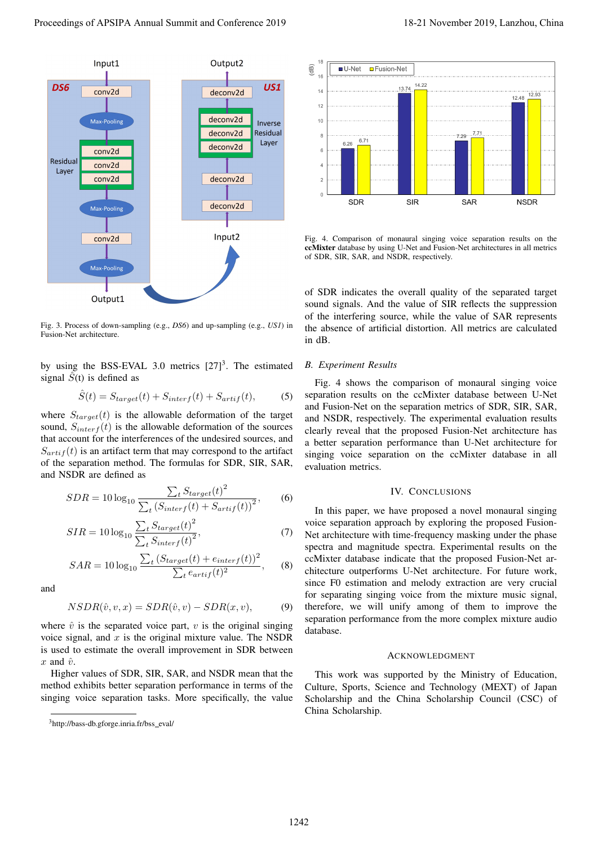

Fig. 3. Process of down-sampling (e.g., *DS6*) and up-sampling (e.g., *US1*) in Fusion-Net architecture.

by using the BSS-EVAL 3.0 metrics  $[27]^3$ . The estimated signal  $\hat{S}(t)$  is defined as

$$
\hat{S}(t) = S_{target}(t) + S_{interf}(t) + S_{artif}(t),
$$
 (5)

where  $S_{target}(t)$  is the allowable deformation of the target sound,  $S_{interf}(t)$  is the allowable deformation of the sources that account for the interferences of the undesired sources, and  $S_{artif}(t)$  is an artifact term that may correspond to the artifact of the separation method. The formulas for SDR, SIR, SAR, and NSDR are defined as

$$
SDR = 10 \log_{10} \frac{\sum_{t} S_{target}(t)^2}{\sum_{t} \left( S_{interf}(t) + S_{artif}(t) \right)^2},\tag{6}
$$

$$
SIR = 10 \log_{10} \frac{\sum_{t} S_{target}(t)^2}{\sum_{t} S_{interf}(t)^2},\tag{7}
$$

$$
SAR = 10\log_{10}\frac{\sum_{t} (S_{target}(t) + e_{interf}(t))^{2}}{\sum_{t} e_{artif}(t)^{2}},
$$
 (8)

and

$$
NSDR(\hat{v}, v, x) = SDR(\hat{v}, v) - SDR(x, v),
$$
\n(9)

where  $\hat{v}$  is the separated voice part, v is the original singing voice signal, and  $x$  is the original mixture value. The NSDR is used to estimate the overall improvement in SDR between  $x$  and  $\hat{v}$ .

Higher values of SDR, SIR, SAR, and NSDR mean that the method exhibits better separation performance in terms of the singing voice separation tasks. More specifically, the value



Fig. 4. Comparison of monaural singing voice separation results on the ccMixter database by using U-Net and Fusion-Net architectures in all metrics of SDR, SIR, SAR, and NSDR, respectively.

of SDR indicates the overall quality of the separated target sound signals. And the value of SIR reflects the suppression of the interfering source, while the value of SAR represents the absence of artificial distortion. All metrics are calculated in dB.

#### *B. Experiment Results*

Fig. 4 shows the comparison of monaural singing voice separation results on the ccMixter database between U-Net and Fusion-Net on the separation metrics of SDR, SIR, SAR, and NSDR, respectively. The experimental evaluation results clearly reveal that the proposed Fusion-Net architecture has a better separation performance than U-Net architecture for singing voice separation on the ccMixter database in all evaluation metrics.

# IV. CONCLUSIONS

In this paper, we have proposed a novel monaural singing voice separation approach by exploring the proposed Fusion-Net architecture with time-frequency masking under the phase spectra and magnitude spectra. Experimental results on the ccMixter database indicate that the proposed Fusion-Net architecture outperforms U-Net architecture. For future work, since F0 estimation and melody extraction are very crucial for separating singing voice from the mixture music signal, therefore, we will unify among of them to improve the separation performance from the more complex mixture audio database.

#### ACKNOWLEDGMENT

This work was supported by the Ministry of Education, Culture, Sports, Science and Technology (MEXT) of Japan Scholarship and the China Scholarship Council (CSC) of China Scholarship.

<sup>&</sup>lt;sup>3</sup>http://bass-db.gforge.inria.fr/bss\_eval/